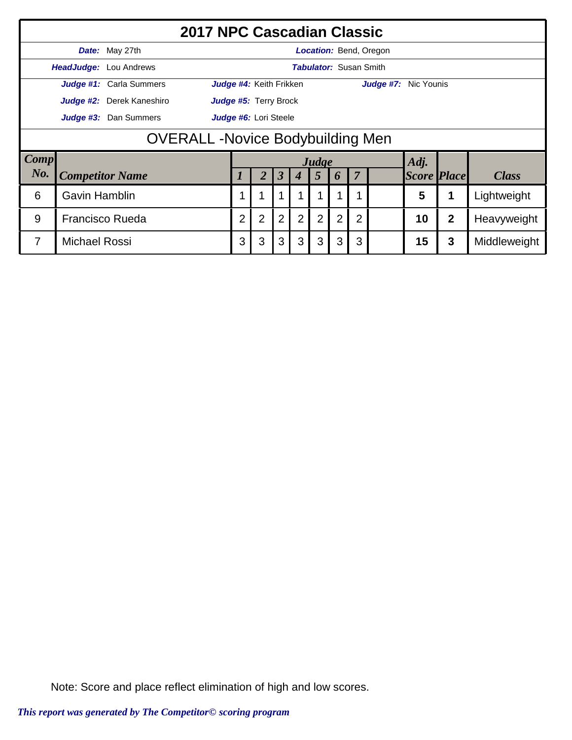|             |                                        | <b>2017 NPC Cascadian Classic</b> |                                                                                                                                                      |                         |                      |                  |       |   |                |                               |                    |   |              |
|-------------|----------------------------------------|-----------------------------------|------------------------------------------------------------------------------------------------------------------------------------------------------|-------------------------|----------------------|------------------|-------|---|----------------|-------------------------------|--------------------|---|--------------|
|             |                                        | <b>Date:</b> May 27th             |                                                                                                                                                      |                         |                      |                  |       |   |                | Location: Bend, Oregon        |                    |   |              |
|             |                                        | <b>HeadJudge:</b> Lou Andrews     |                                                                                                                                                      |                         |                      |                  |       |   |                | <b>Tabulator: Susan Smith</b> |                    |   |              |
|             |                                        | Judge #1: Carla Summers           |                                                                                                                                                      | Judge #4: Keith Frikken |                      |                  |       |   |                | Judge #7: Nic Younis          |                    |   |              |
|             |                                        | Judge #2: Derek Kaneshiro         |                                                                                                                                                      | Judge #5: Terry Brock   |                      |                  |       |   |                |                               |                    |   |              |
|             |                                        | Judge #3: Dan Summers             | Judge #6: Lori Steele                                                                                                                                |                         |                      |                  |       |   |                |                               |                    |   |              |
|             | <b>OVERALL-Novice Bodybuilding Men</b> |                                   |                                                                                                                                                      |                         |                      |                  |       |   |                |                               |                    |   |              |
| <b>Comp</b> |                                        |                                   |                                                                                                                                                      |                         |                      |                  | Judge |   |                |                               | Adj.               |   |              |
| No.         |                                        | <b>Competitor Name</b>            |                                                                                                                                                      | $\overline{2}$          | $\boldsymbol{\beta}$ | $\boldsymbol{4}$ | 5     | 6 | $\overline{7}$ |                               | <b>Score Place</b> |   | <b>Class</b> |
| 6           | <b>Gavin Hamblin</b>                   |                                   | 5<br>Lightweight                                                                                                                                     |                         |                      |                  |       |   |                |                               |                    |   |              |
| 9           |                                        | <b>Francisco Rueda</b>            | $\overline{2}$<br>$\overline{2}$<br>$\overline{2}$<br>$\overline{2}$<br>$\overline{2}$<br>2<br>$\overline{2}$<br>10<br>$\overline{2}$<br>Heavyweight |                         |                      |                  |       |   |                |                               |                    |   |              |
| 7           | <b>Michael Rossi</b>                   |                                   | 3                                                                                                                                                    | 3                       | 3                    | 3                | 3     | 3 | 3              |                               | 15                 | 3 | Middleweight |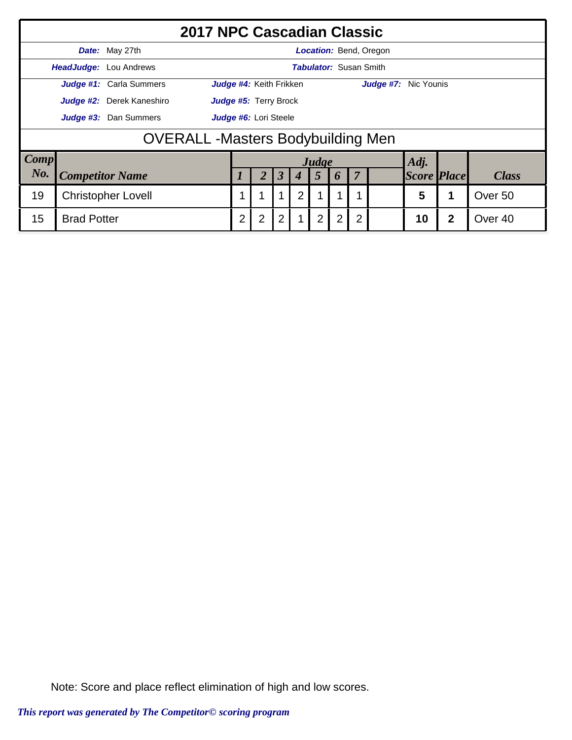|             |                                                |                           | 2017 NPC Cascadian Classic                   |   |                         |   |                               |                |                |                               |                    |              |                    |  |
|-------------|------------------------------------------------|---------------------------|----------------------------------------------|---|-------------------------|---|-------------------------------|----------------|----------------|-------------------------------|--------------------|--------------|--------------------|--|
|             |                                                | <b>Date:</b> May 27th     |                                              |   |                         |   |                               |                |                | <b>Location: Bend, Oregon</b> |                    |              |                    |  |
|             |                                                | HeadJudge: Lou Andrews    |                                              |   |                         |   | <b>Tabulator: Susan Smith</b> |                |                |                               |                    |              |                    |  |
|             |                                                | Judge #1: Carla Summers   | <b>Judge #4: Keith Frikken</b>               |   |                         |   |                               |                |                | <b>Judge #7:</b> Nic Younis   |                    |              |                    |  |
|             |                                                | Judge #2: Derek Kaneshiro | <b>Judge #5: Terry Brock</b>                 |   |                         |   |                               |                |                |                               |                    |              |                    |  |
|             | Judge #3: Dan Summers<br>Judge #6: Lori Steele |                           |                                              |   |                         |   |                               |                |                |                               |                    |              |                    |  |
|             | <b>OVERALL</b> - Masters Bodybuilding Men      |                           |                                              |   |                         |   |                               |                |                |                               |                    |              |                    |  |
| <b>Comp</b> |                                                |                           |                                              |   |                         |   | Judge                         |                |                |                               | Adj.               |              |                    |  |
| No.         |                                                | <b>Competitor Name</b>    |                                              |   | $\overline{\mathbf{3}}$ |   | 5                             | 6              | 7              |                               | <b>Score Place</b> |              | <b>Class</b>       |  |
| 19          |                                                | <b>Christopher Lovell</b> | $\overline{2}$<br>1<br>5<br>$\mathbf 1$<br>1 |   |                         |   |                               |                |                |                               |                    |              | Over 50            |  |
| 15          | <b>Brad Potter</b>                             |                           | 2                                            | 2 | $\overline{2}$          | 1 | $\overline{2}$                | $\overline{2}$ | $\overline{2}$ |                               | 10                 | $\mathbf{2}$ | Over <sub>40</sub> |  |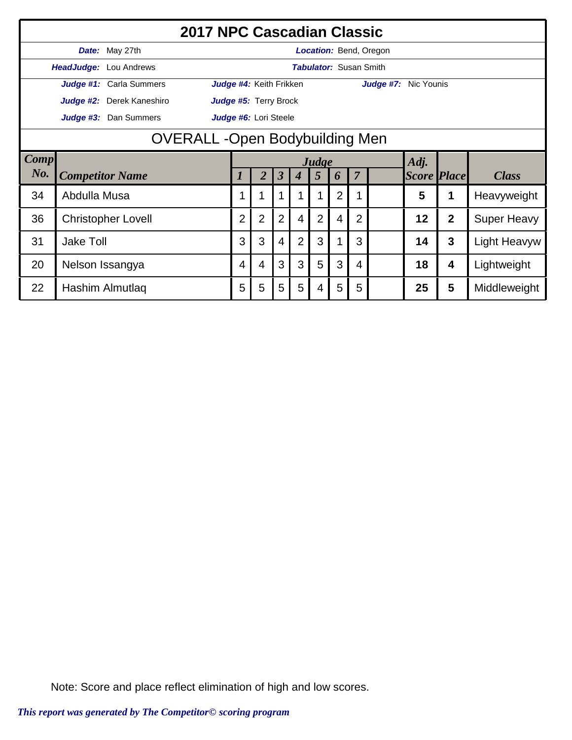|        |                                       |                               | <b>2017 NPC Cascadian Classic</b> |                |                         |                      |                  |       |                |                               |                        |                    |                |                     |
|--------|---------------------------------------|-------------------------------|-----------------------------------|----------------|-------------------------|----------------------|------------------|-------|----------------|-------------------------------|------------------------|--------------------|----------------|---------------------|
|        |                                       | Date: May 27th                |                                   |                |                         |                      |                  |       |                |                               | Location: Bend, Oregon |                    |                |                     |
|        |                                       | <b>HeadJudge:</b> Lou Andrews |                                   |                |                         |                      |                  |       |                | <b>Tabulator: Susan Smith</b> |                        |                    |                |                     |
|        |                                       | Judge #1: Carla Summers       |                                   |                | Judge #4: Keith Frikken |                      |                  |       |                |                               | Judge #7: Nic Younis   |                    |                |                     |
|        |                                       | Judge #2: Derek Kaneshiro     |                                   |                | Judge #5: Terry Brock   |                      |                  |       |                |                               |                        |                    |                |                     |
|        |                                       | Judge #3: Dan Summers         | Judge #6: Lori Steele             |                |                         |                      |                  |       |                |                               |                        |                    |                |                     |
|        | <b>OVERALL -Open Bodybuilding Men</b> |                               |                                   |                |                         |                      |                  |       |                |                               |                        |                    |                |                     |
| Comp   |                                       |                               |                                   |                |                         |                      |                  | Judge |                |                               |                        | Adj.               |                |                     |
| $N0$ . |                                       | <b>Competitor Name</b>        |                                   |                | 2                       | $\boldsymbol{\beta}$ | $\boldsymbol{4}$ | 5     | 6              | $\overline{7}$                |                        | <b>Score Place</b> |                | <b>Class</b>        |
| 34     | Abdulla Musa                          |                               |                                   |                |                         |                      |                  |       | 2              |                               |                        | 5                  | 1              | Heavyweight         |
| 36     |                                       | <b>Christopher Lovell</b>     |                                   | $\overline{2}$ | $\overline{2}$          | $\overline{2}$       | $\overline{4}$   | 2     | $\overline{4}$ | $\overline{2}$                |                        | 12                 | $\overline{2}$ | <b>Super Heavy</b>  |
| 31     | <b>Jake Toll</b>                      |                               |                                   |                |                         | 4                    | $\overline{2}$   | 3     |                | 3                             |                        | 14                 | 3              | <b>Light Heavyw</b> |
| 20     | Nelson Issangya                       |                               |                                   |                | 4                       | 3                    | 3                | 5     | 3              | 4                             |                        | 18                 | 4              | Lightweight         |
| 22     |                                       | Hashim Almutlaq               |                                   | 5              | 5                       | 5                    | 5                | 4     | 5              | 5                             |                        | 25                 | 5              | Middleweight        |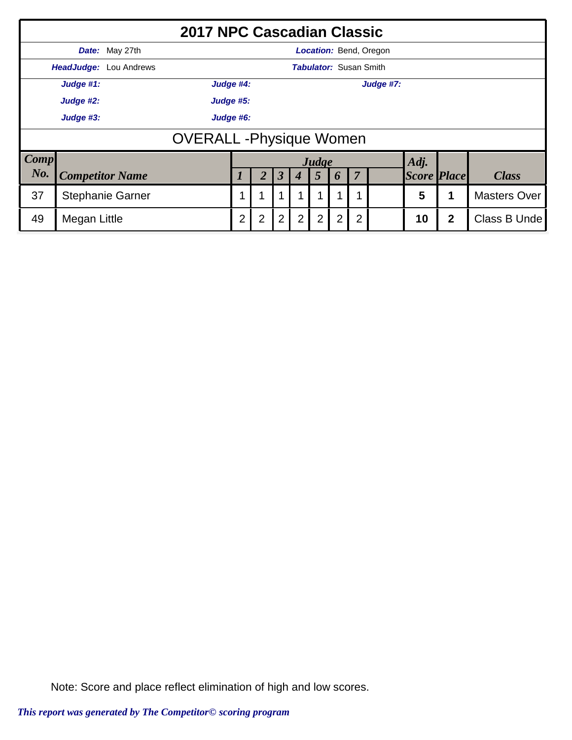|             |                               | <b>2017 NPC Cascadian Classic</b> |                                 |   |                      |                |                               |                |                |                               |                    |             |                     |  |
|-------------|-------------------------------|-----------------------------------|---------------------------------|---|----------------------|----------------|-------------------------------|----------------|----------------|-------------------------------|--------------------|-------------|---------------------|--|
|             |                               | <b>Date:</b> May 27th             |                                 |   |                      |                |                               |                |                | <b>Location: Bend, Oregon</b> |                    |             |                     |  |
|             |                               | <b>HeadJudge:</b> Lou Andrews     |                                 |   |                      |                | <b>Tabulator: Susan Smith</b> |                |                |                               |                    |             |                     |  |
|             | Judge #1:                     |                                   | Judge #4:                       |   |                      |                |                               |                |                | Judge #7:                     |                    |             |                     |  |
|             | Judge #2:                     |                                   | Judge #5:                       |   |                      |                |                               |                |                |                               |                    |             |                     |  |
|             | Judge #3:                     |                                   | Judge #6:                       |   |                      |                |                               |                |                |                               |                    |             |                     |  |
|             | <b>OVERALL-Physique Women</b> |                                   |                                 |   |                      |                |                               |                |                |                               |                    |             |                     |  |
| <b>Comp</b> |                               |                                   |                                 |   |                      |                | Judge                         |                |                |                               | Adj.               |             |                     |  |
| No.         |                               | <b>Competitor Name</b>            |                                 |   | $\boldsymbol{\beta}$ | 4              | 5                             | 6              | $\overline{7}$ |                               | <b>Score Place</b> |             | <b>Class</b>        |  |
| 37          |                               | <b>Stephanie Garner</b>           | $\mathbf 1$<br>1<br>1<br>1<br>1 |   |                      |                |                               |                |                |                               | 5                  |             | <b>Masters Over</b> |  |
| 49          | Megan Little                  |                                   | $\overline{2}$                  | 2 | $\overline{2}$       | $\overline{2}$ | $\overline{2}$                | $\overline{2}$ | 2              |                               | 10                 | $\mathbf 2$ | Class B Unde        |  |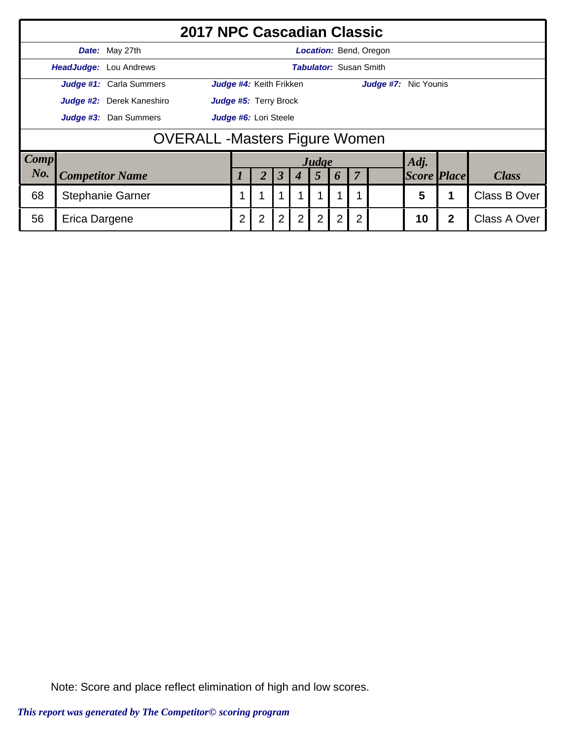|             |                                       |                               | <b>2017 NPC Cascadian Classic</b> |   |                              |                  |   |                               |                    |                |                               |      |              |              |  |
|-------------|---------------------------------------|-------------------------------|-----------------------------------|---|------------------------------|------------------|---|-------------------------------|--------------------|----------------|-------------------------------|------|--------------|--------------|--|
|             |                                       | <b>Date:</b> May 27th         |                                   |   |                              |                  |   |                               |                    |                | <b>Location:</b> Bend, Oregon |      |              |              |  |
|             |                                       | <b>HeadJudge:</b> Lou Andrews |                                   |   |                              |                  |   | <b>Tabulator: Susan Smith</b> |                    |                |                               |      |              |              |  |
|             |                                       | Judge #1: Carla Summers       |                                   |   | Judge #4: Keith Frikken      |                  |   |                               |                    |                | Judge #7: Nic Younis          |      |              |              |  |
|             |                                       | Judge #2: Derek Kaneshiro     |                                   |   | <b>Judge #5: Terry Brock</b> |                  |   |                               |                    |                |                               |      |              |              |  |
|             |                                       | Judge #3: Dan Summers         | Judge #6: Lori Steele             |   |                              |                  |   |                               |                    |                |                               |      |              |              |  |
|             | <b>OVERALL</b> - Masters Figure Women |                               |                                   |   |                              |                  |   |                               |                    |                |                               |      |              |              |  |
| <b>Comp</b> |                                       |                               |                                   |   |                              |                  |   | Judge                         |                    |                |                               | Adj. |              |              |  |
| No.         | <b>Competitor Name</b>                |                               | $\boldsymbol{3}$                  |   | 5                            | $\boldsymbol{p}$ | 7 |                               | <b>Score Place</b> |                | <b>Class</b>                  |      |              |              |  |
| 68          | <b>Stephanie Garner</b>               |                               |                                   |   |                              |                  |   |                               | 1                  |                | 5                             |      | Class B Over |              |  |
| 56          | Erica Dargene                         |                               |                                   | 2 | $\overline{2}$               | $\overline{2}$   | 2 | $\overline{2}$                | $\overline{2}$     | $\overline{2}$ |                               | 10   | $\mathbf{2}$ | Class A Over |  |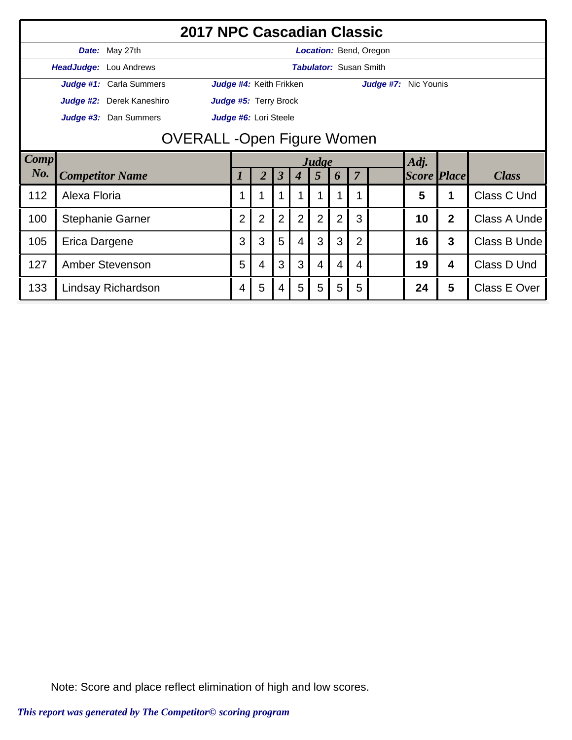|      |                        |                                    | <b>2017 NPC Cascadian Classic</b> |                |                         |                      |                  |                 |                               |                |                               |                    |                |                     |
|------|------------------------|------------------------------------|-----------------------------------|----------------|-------------------------|----------------------|------------------|-----------------|-------------------------------|----------------|-------------------------------|--------------------|----------------|---------------------|
|      |                        | Date: May 27th                     |                                   |                |                         |                      |                  |                 |                               |                | <b>Location: Bend, Oregon</b> |                    |                |                     |
|      |                        | HeadJudge: Lou Andrews             |                                   |                |                         |                      |                  |                 | <b>Tabulator: Susan Smith</b> |                |                               |                    |                |                     |
|      |                        | Judge #1: Carla Summers            |                                   |                | Judge #4: Keith Frikken |                      |                  |                 |                               |                | Judge #7: Nic Younis          |                    |                |                     |
|      |                        | Judge #2: Derek Kaneshiro          |                                   |                | Judge #5: Terry Brock   |                      |                  |                 |                               |                |                               |                    |                |                     |
|      |                        | Judge #3: Dan Summers              |                                   |                | Judge #6: Lori Steele   |                      |                  |                 |                               |                |                               |                    |                |                     |
|      |                        | <b>OVERALL</b> - Open Figure Women |                                   |                |                         |                      |                  |                 |                               |                |                               |                    |                |                     |
| Comp |                        |                                    |                                   |                |                         |                      |                  | Judge           |                               |                |                               | Adj.               |                |                     |
| No.  |                        | <b>Competitor Name</b>             |                                   |                | 2                       | $\boldsymbol{\beta}$ | $\boldsymbol{4}$ | $5\overline{)}$ | 6                             | $\overline{7}$ |                               | <b>Score Place</b> |                | <b>Class</b>        |
| 112  | Alexa Floria           |                                    |                                   |                |                         |                      |                  |                 |                               |                |                               | 5                  |                | Class C Und         |
| 100  |                        | <b>Stephanie Garner</b>            |                                   | $\overline{2}$ | $\overline{2}$          | $\overline{2}$       | $\overline{2}$   | $\overline{2}$  | $\overline{2}$                | 3              |                               | 10                 | $\overline{2}$ | Class A Unde        |
| 105  | Erica Dargene          |                                    |                                   |                |                         | 5                    | $\overline{4}$   | 3               | 3                             | 2              |                               | 16                 | 3              | Class B Unde        |
| 127  | <b>Amber Stevenson</b> |                                    |                                   |                | 4                       | 3                    | 3                | 4               | 4                             | 4              |                               | 19                 | 4              | Class D Und         |
| 133  |                        | Lindsay Richardson                 |                                   | 4              | 5                       | 4                    | 5                | 5               | 5                             | 5              |                               | 24                 | 5              | <b>Class E Over</b> |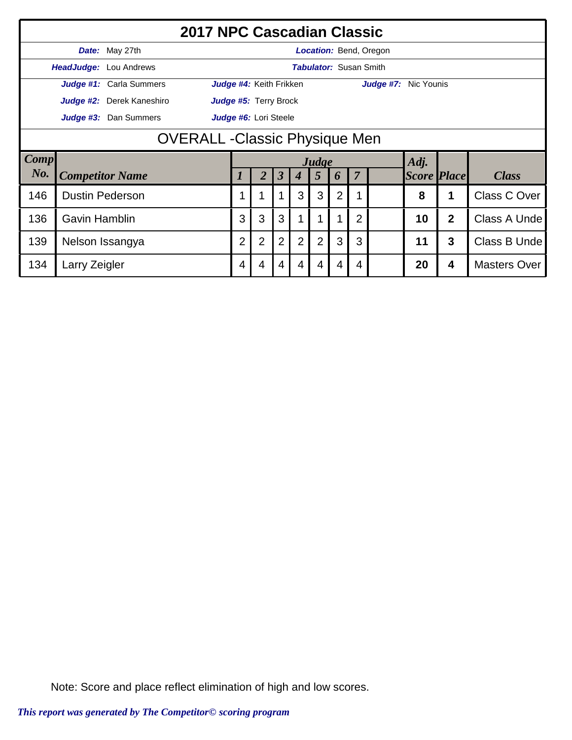|             |                                       | 2017 NPC Cascadian Classic    |                                                                                        |                         |                      |   |       |                               |   |                               |                    |                |                     |  |
|-------------|---------------------------------------|-------------------------------|----------------------------------------------------------------------------------------|-------------------------|----------------------|---|-------|-------------------------------|---|-------------------------------|--------------------|----------------|---------------------|--|
|             |                                       | Date: May 27th                |                                                                                        |                         |                      |   |       |                               |   | <b>Location:</b> Bend, Oregon |                    |                |                     |  |
|             |                                       | <b>HeadJudge:</b> Lou Andrews |                                                                                        |                         |                      |   |       | <b>Tabulator: Susan Smith</b> |   |                               |                    |                |                     |  |
|             |                                       | Judge #1: Carla Summers       |                                                                                        | Judge #4: Keith Frikken |                      |   |       |                               |   | Judge #7: Nic Younis          |                    |                |                     |  |
|             |                                       | Judge #2: Derek Kaneshiro     | Judge #5: Terry Brock                                                                  |                         |                      |   |       |                               |   |                               |                    |                |                     |  |
|             |                                       | Judge #3: Dan Summers         | Judge #6: Lori Steele                                                                  |                         |                      |   |       |                               |   |                               |                    |                |                     |  |
|             | <b>OVERALL - Classic Physique Men</b> |                               |                                                                                        |                         |                      |   |       |                               |   |                               |                    |                |                     |  |
| <b>Comp</b> |                                       |                               |                                                                                        |                         |                      |   | Judge |                               |   |                               | Adj.               |                |                     |  |
| No.         |                                       | <b>Competitor Name</b>        |                                                                                        |                         | $\boldsymbol{\beta}$ | 4 | 5     | 6                             | 7 |                               | <b>Score Place</b> |                | <b>Class</b>        |  |
| 146         |                                       | <b>Dustin Pederson</b>        |                                                                                        |                         |                      | 3 | 3     | 2                             |   |                               | 8                  |                | <b>Class C Over</b> |  |
| 136         | <b>Gavin Hamblin</b>                  |                               | 3<br>3<br>3<br>$\overline{2}$<br>1                                                     |                         |                      |   |       |                               |   |                               | 10                 | $\overline{2}$ | Class A Unde        |  |
| 139         |                                       | Nelson Issangya               | $\overline{2}$<br>$\overline{2}$<br>$\overline{2}$<br>$\overline{2}$<br>$\overline{2}$ |                         |                      |   |       |                               | 3 |                               | 11                 | 3              | Class B Unde        |  |
| 134         | Larry Zeigler                         |                               | 4                                                                                      | 4                       | 4                    | 4 | 4     | 4                             | 4 |                               | 20                 | 4              | <b>Masters Over</b> |  |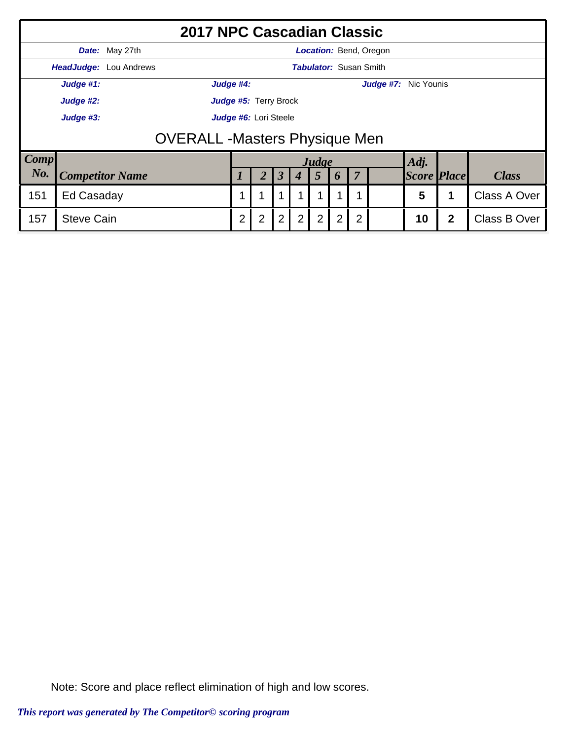|             |                                       | <b>2017 NPC Cascadian Classic</b> |                       |                |                      |                  |                |                               |                |                               |                    |              |                     |  |  |  |
|-------------|---------------------------------------|-----------------------------------|-----------------------|----------------|----------------------|------------------|----------------|-------------------------------|----------------|-------------------------------|--------------------|--------------|---------------------|--|--|--|
|             |                                       | Date: May 27th                    |                       |                |                      |                  |                |                               |                | <b>Location: Bend, Oregon</b> |                    |              |                     |  |  |  |
|             |                                       | <b>HeadJudge:</b> Lou Andrews     |                       |                |                      |                  |                | <b>Tabulator: Susan Smith</b> |                |                               |                    |              |                     |  |  |  |
|             | Judge #1:                             |                                   | Judge #4:             |                |                      |                  |                |                               |                | Judge #7: Nic Younis          |                    |              |                     |  |  |  |
|             | Judge #2:                             |                                   | Judge #5: Terry Brock |                |                      |                  |                |                               |                |                               |                    |              |                     |  |  |  |
|             | Judge #6: Lori Steele<br>Judge #3:    |                                   |                       |                |                      |                  |                |                               |                |                               |                    |              |                     |  |  |  |
|             | <b>OVERALL</b> - Masters Physique Men |                                   |                       |                |                      |                  |                |                               |                |                               |                    |              |                     |  |  |  |
| <b>Comp</b> |                                       |                                   |                       |                |                      |                  | Judge          |                               |                |                               | Adj.               |              |                     |  |  |  |
| No.         |                                       | <b>Competitor Name</b>            |                       |                | $\boldsymbol{\beta}$ | $\boldsymbol{4}$ | $\overline{5}$ | 6                             | $\overline{7}$ |                               | <b>Score Place</b> |              | <b>Class</b>        |  |  |  |
| 151         | Ed Casaday                            |                                   | 5<br>Class A Over     |                |                      |                  |                |                               |                |                               |                    |              |                     |  |  |  |
| 157         | <b>Steve Cain</b>                     |                                   | $\overline{2}$        | $\overline{2}$ | $\overline{2}$       | 2                | $\overline{2}$ | $\overline{2}$                | $\overline{2}$ |                               | 10                 | $\mathbf{2}$ | <b>Class B Over</b> |  |  |  |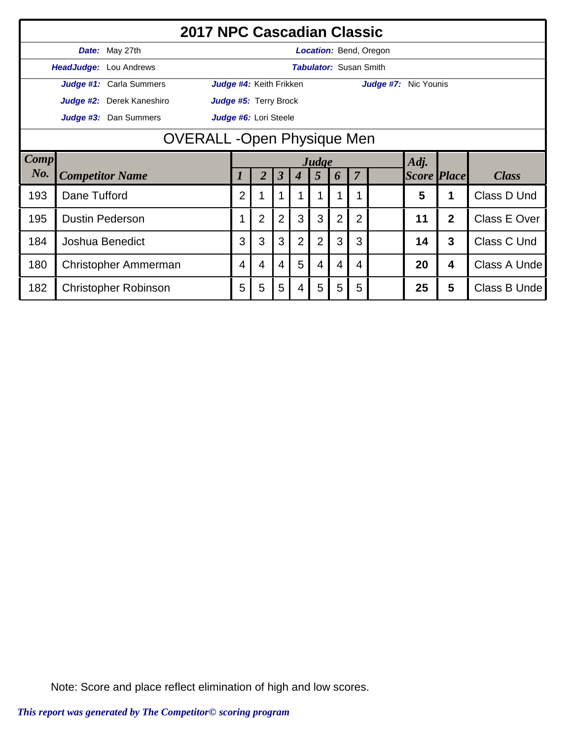|      |                      | <b>2017 NPC Cascadian Classic</b>  |                         |                |                      |                  |                |                |                               |                               |                    |                         |              |
|------|----------------------|------------------------------------|-------------------------|----------------|----------------------|------------------|----------------|----------------|-------------------------------|-------------------------------|--------------------|-------------------------|--------------|
|      |                      | Date: May 27th                     |                         |                |                      |                  |                |                |                               | <b>Location: Bend, Oregon</b> |                    |                         |              |
|      |                      | HeadJudge: Lou Andrews             |                         |                |                      |                  |                |                | <b>Tabulator: Susan Smith</b> |                               |                    |                         |              |
|      |                      | Judge #1: Carla Summers            | Judge #4: Keith Frikken |                |                      |                  |                |                |                               | Judge #7: Nic Younis          |                    |                         |              |
|      |                      | Judge #2: Derek Kaneshiro          | Judge #5: Terry Brock   |                |                      |                  |                |                |                               |                               |                    |                         |              |
|      |                      | Judge #3: Dan Summers              | Judge #6: Lori Steele   |                |                      |                  |                |                |                               |                               |                    |                         |              |
|      |                      | <b>OVERALL</b> - Open Physique Men |                         |                |                      |                  |                |                |                               |                               |                    |                         |              |
| Comp |                      |                                    |                         |                |                      |                  | Judge          |                |                               |                               | Adj.               |                         |              |
| No.  |                      | <b>Competitor Name</b>             | 1                       | 2              | $\boldsymbol{\beta}$ | $\boldsymbol{4}$ | $\overline{5}$ | 6              | $\overline{7}$                |                               | <b>Score Place</b> |                         | <b>Class</b> |
| 193  | Dane Tufford         |                                    | 2                       |                |                      |                  |                |                |                               |                               | 5                  | 1                       | Class D Und  |
| 195  |                      | <b>Dustin Pederson</b>             |                         | $\overline{2}$ | $\overline{2}$       | 3                | 3              | $\overline{2}$ | $\overline{2}$                |                               | 11                 | $\overline{2}$          | Class E Over |
| 184  | Joshua Benedict      |                                    |                         |                | 3                    | $\overline{2}$   | $\overline{2}$ | 3              | 3                             |                               | 14                 | 3                       | Class C Und  |
| 180  | Christopher Ammerman |                                    |                         | $\overline{4}$ | 4                    | 5                | 4              | 4              | 4                             |                               | 20                 | $\overline{\mathbf{4}}$ | Class A Unde |
| 182  |                      | Christopher Robinson               | 5                       | 5              | 5                    | 4                | 5              | 5              | 5                             |                               | 25                 | 5                       | Class B Unde |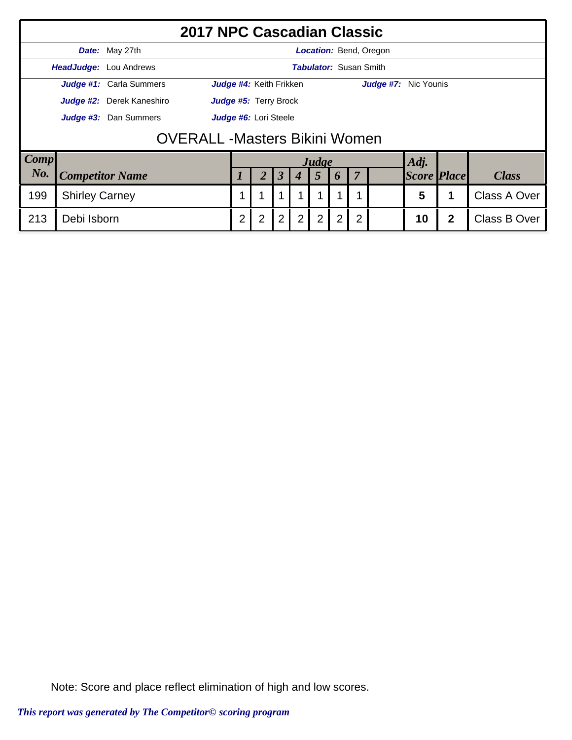|             |                                                |                               | <b>2017 NPC Cascadian Classic</b> |                |                              |                |                |                |                |  |                               |              |                     |  |
|-------------|------------------------------------------------|-------------------------------|-----------------------------------|----------------|------------------------------|----------------|----------------|----------------|----------------|--|-------------------------------|--------------|---------------------|--|
|             |                                                | Date: May 27th                |                                   |                |                              |                |                |                |                |  | <b>Location:</b> Bend, Oregon |              |                     |  |
|             |                                                | <b>HeadJudge:</b> Lou Andrews |                                   |                |                              |                |                |                |                |  | <b>Tabulator: Susan Smith</b> |              |                     |  |
|             |                                                | Judge #1: Carla Summers       |                                   |                | Judge #4: Keith Frikken      |                |                |                |                |  | Judge #7: Nic Younis          |              |                     |  |
|             |                                                | Judge #2: Derek Kaneshiro     |                                   |                | <b>Judge #5: Terry Brock</b> |                |                |                |                |  |                               |              |                     |  |
|             | Judge #3: Dan Summers<br>Judge #6: Lori Steele |                               |                                   |                |                              |                |                |                |                |  |                               |              |                     |  |
|             | <b>OVERALL -Masters Bikini Women</b>           |                               |                                   |                |                              |                |                |                |                |  |                               |              |                     |  |
| <b>Comp</b> |                                                |                               |                                   |                |                              |                |                | Judge          |                |  |                               | Adj.         |                     |  |
| No.         | <b>Competitor Name</b>                         |                               |                                   | 2              | $\boldsymbol{\beta}$         |                | $\overline{5}$ | 6              | $\overline{7}$ |  | <b>Score Place</b>            |              | <b>Class</b>        |  |
| 199         | <b>Shirley Carney</b>                          |                               |                                   |                |                              |                |                |                | 1              |  | 5                             |              | Class A Over        |  |
| 213         | Debi Isborn                                    |                               | 2                                 | $\overline{2}$ | $\overline{2}$               | $\overline{2}$ | $\overline{2}$ | $\overline{2}$ | $\overline{2}$ |  | 10                            | $\mathbf{2}$ | <b>Class B Over</b> |  |